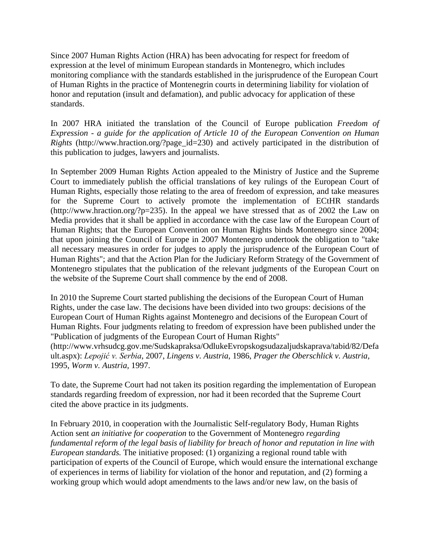Since 2007 Human Rights Action (HRA) has been advocating for respect for freedom of expression at the level of minimum European standards in Montenegro, which includes monitoring compliance with the standards established in the jurisprudence of the European Court of Human Rights in the practice of Montenegrin courts in determining liability for violation of honor and reputation (insult and defamation), and public advocacy for application of these standards.

In 2007 HRA initiated the translation of the Council of Europe publication *Freedom of Expression - a guide for the application of Article 10 of the European Convention on Human Rights* (http://www.hraction.org/?page\_id=230) and actively participated in the distribution of this publication to judges, lawyers and journalists.

In September 2009 Human Rights Action appealed to the Ministry of Justice and the Supreme Court to immediately publish the official translations of key rulings of the European Court of Human Rights, especially those relating to the area of freedom of expression, and take measures for the Supreme Court to actively promote the implementation of ECtHR standards (http://www.hraction.org/?p=235). In the appeal we have stressed that as of 2002 the Law on Media provides that it shall be applied in accordance with the case law of the European Court of Human Rights; that the European Convention on Human Rights binds Montenegro since 2004; that upon joining the Council of Europe in 2007 Montenegro undertook the obligation to "take all necessary measures in order for judges to apply the jurisprudence of the European Court of Human Rights"; and that the Action Plan for the Judiciary Reform Strategy of the Government of Montenegro stipulates that the publication of the relevant judgments of the European Court on the website of the Supreme Court shall commence by the end of 2008.

In 2010 the Supreme Court started publishing the decisions of the European Court of Human Rights, under the case law. The decisions have been divided into two groups: decisions of the European Court of Human Rights against Montenegro and decisions of the European Court of Human Rights. Four judgments relating to freedom of expression have been published under the "Publication of judgments of the European Court of Human Rights" (http://www.vrhsudcg.gov.me/Sudskapraksa/OdlukeEvropskogsudazaljudskaprava/tabid/82/Defa ult.aspx): *Lepojić v. Serbia*, 2007, *Lingens v. Austria*, 1986, *Prager the Oberschlick v. Austria,* 1995, *Worm v. Austria,* 1997.

To date, the Supreme Court had not taken its position regarding the implementation of European standards regarding freedom of expression, nor had it been recorded that the Supreme Court cited the above practice in its judgments.

In February 2010, in cooperation with the Journalistic Self-regulatory Body, Human Rights Action sent *an initiative for cooperation* to the Government of Montenegro *regarding fundamental reform of the legal basis of liability for breach of honor and reputation in line with European standards.* The initiative proposed: (1) organizing a regional round table with participation of experts of the Council of Europe, which would ensure the international exchange of experiences in terms of liability for violation of the honor and reputation, and (2) forming a working group which would adopt amendments to the laws and/or new law, on the basis of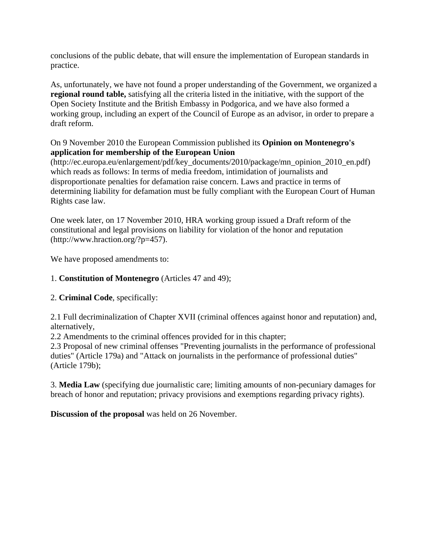conclusions of the public debate, that will ensure the implementation of European standards in practice.

As, unfortunately, we have not found a proper understanding of the Government, we organized a **regional round table,** satisfying all the criteria listed in the initiative, with the support of the Open Society Institute and the British Embassy in Podgorica, and we have also formed a working group, including an expert of the Council of Europe as an advisor, in order to prepare a draft reform.

## On 9 November 2010 the European Commission published its **Opinion on Montenegro's application for membership of the European Union**

(http://ec.europa.eu/enlargement/pdf/key\_documents/2010/package/mn\_opinion\_2010\_en.pdf) which reads as follows: In terms of media freedom, intimidation of journalists and disproportionate penalties for defamation raise concern. Laws and practice in terms of determining liability for defamation must be fully compliant with the European Court of Human Rights case law.

One week later, on 17 November 2010, HRA working group issued a Draft reform of the constitutional and legal provisions on liability for violation of the honor and reputation (http://www.hraction.org/?p=457).

We have proposed amendments to:

## 1. **Constitution of Montenegro** (Articles 47 and 49);

## 2. **Criminal Code**, specifically:

2.1 Full decriminalization of Chapter XVII (criminal offences against honor and reputation) and, alternatively,

2.2 Amendments to the criminal offences provided for in this chapter;

2.3 Proposal of new criminal offenses "Preventing journalists in the performance of professional duties" (Article 179a) and "Attack on journalists in the performance of professional duties" (Article 179b);

3. **Media Law** (specifying due journalistic care; limiting amounts of non-pecuniary damages for breach of honor and reputation; privacy provisions and exemptions regarding privacy rights).

**Discussion of the proposal** was held on 26 November.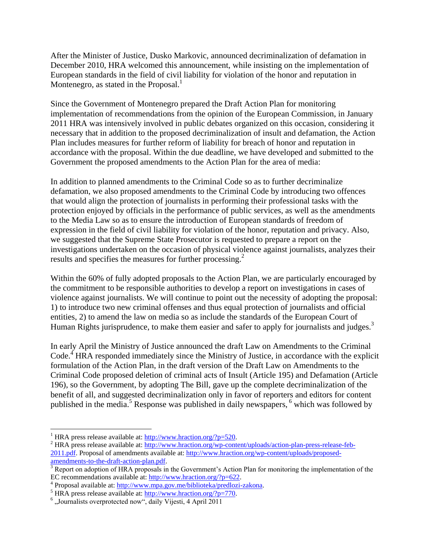After the Minister of Justice, Dusko Markovic, announced decriminalization of defamation in December 2010, HRA welcomed this announcement, while insisting on the implementation of European standards in the field of civil liability for violation of the honor and reputation in Montenegro, as stated in the Proposal.<sup>1</sup>

Since the Government of Montenegro prepared the Draft Action Plan for monitoring implementation of recommendations from the opinion of the European Commission, in January 2011 HRA was intensively involved in public debates organized on this occasion, considering it necessary that in addition to the proposed decriminalization of insult and defamation, the Action Plan includes measures for further reform of liability for breach of honor and reputation in accordance with the proposal. Within the due deadline, we have developed and submitted to the Government the proposed amendments to the Action Plan for the area of media:

In addition to planned amendments to the Criminal Code so as to further decriminalize defamation, we also proposed amendments to the Criminal Code by introducing two offences that would align the protection of journalists in performing their professional tasks with the protection enjoyed by officials in the performance of public services, as well as the amendments to the Media Law so as to ensure the introduction of European standards of freedom of expression in the field of civil liability for violation of the honor, reputation and privacy. Also, we suggested that the Supreme State Prosecutor is requested to prepare a report on the investigations undertaken on the occasion of physical violence against journalists, analyzes their results and specifies the measures for further processing.<sup>2</sup>

Within the 60% of fully adopted proposals to the Action Plan, we are particularly encouraged by the commitment to be responsible authorities to develop a report on investigations in cases of violence against journalists. We will continue to point out the necessity of adopting the proposal: 1) to introduce two new criminal offenses and thus equal protection of journalists and official entities, 2) to amend the law on media so as include the standards of the European Court of Human Rights jurisprudence, to make them easier and safer to apply for journalists and judges.<sup>3</sup>

In early April the Ministry of Justice announced the draft Law on Amendments to the Criminal Code.<sup>4</sup> HRA responded immediately since the Ministry of Justice, in accordance with the explicit formulation of the Action Plan, in the draft version of the Draft Law on Amendments to the Criminal Code proposed deletion of criminal acts of Insult (Article 195) and Defamation (Article 196), so the Government, by adopting The Bill, gave up the complete decriminalization of the benefit of all, and suggested decriminalization only in favor of reporters and editors for content published in the media.<sup>5</sup> Response was published in daily newspapers,  $6$  which was followed by

 $\overline{a}$ 

<sup>&</sup>lt;sup>1</sup> HRA press release available at:  $\frac{http://www.hraction.org/?p=520}{http://www.hraction.org/?p=520}$ .

<sup>2</sup> HRA press release available at: [http://www.hraction.org/wp-content/uploads/action-plan-press-release-feb-](http://www.hraction.org/wp-content/uploads/action-plan-press-release-feb-2011.pdf)[2011.pdf.](http://www.hraction.org/wp-content/uploads/action-plan-press-release-feb-2011.pdf) Proposal of amendments available at: [http://www.hraction.org/wp-content/uploads/proposed](http://www.hraction.org/wp-content/uploads/proposed-amendments-to-the-draft-action-plan.pdf)[amendments-to-the-draft-action-plan.pdf.](http://www.hraction.org/wp-content/uploads/proposed-amendments-to-the-draft-action-plan.pdf)

<sup>&</sup>lt;sup>3</sup> Report on adoption of HRA proposals in the Government's Action Plan for monitoring the implementation of the EC recommendations available at: [http://www.hraction.org/?p=622.](http://www.hraction.org/?p=622)

<sup>&</sup>lt;sup>4</sup> Proposal available at: [http://www.mpa.gov.me/biblioteka/predlozi-zakona.](http://www.mpa.gov.me/biblioteka/predlozi-zakona)

<sup>&</sup>lt;sup>5</sup> HRA press release available at:  $\frac{http://www.hraction.org/?p=770}{http://www.hraction.org/?p=770}$ .

<sup>&</sup>lt;sup>6</sup> "Journalists overprotected now", daily Vijesti, 4 April 2011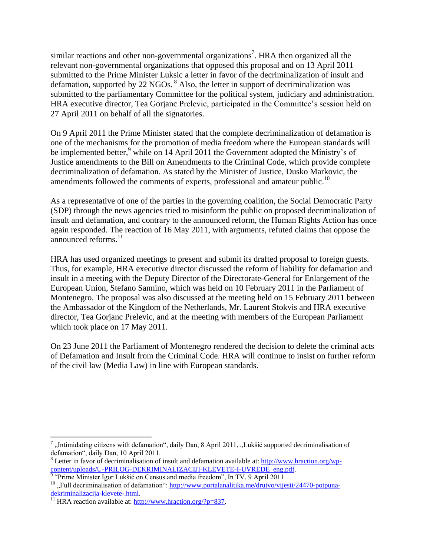similar reactions and other non-governmental organizations<sup>7</sup>. HRA then organized all the relevant non-governmental organizations that opposed this proposal and on 13 April 2011 submitted to the Prime Minister Luksic a letter in favor of the decriminalization of insult and defamation, supported by 22 NGOs.  ${}^{8}$  Also, the letter in support of decriminalization was submitted to the parliamentary Committee for the political system, judiciary and administration. HRA executive director, Tea Gorjanc Prelevic, participated in the Committee's session held on 27 April 2011 on behalf of all the signatories.

On 9 April 2011 the Prime Minister stated that the complete decriminalization of defamation is one of the mechanisms for the promotion of media freedom where the European standards will be implemented better,<sup>9</sup> while on 14 April 2011 the Government adopted the Ministry's of Justice amendments to the Bill on Amendments to the Criminal Code, which provide complete decriminalization of defamation. As stated by the Minister of Justice, Dusko Markovic, the amendments followed the comments of experts, professional and amateur public.<sup>10</sup>

As a representative of one of the parties in the governing coalition, the Social Democratic Party (SDP) through the news agencies tried to misinform the public on proposed decriminalization of insult and defamation, and contrary to the announced reform, the Human Rights Action has once again responded. The reaction of 16 May 2011, with arguments, refuted claims that oppose the announced reforms. 11

HRA has used organized meetings to present and submit its drafted proposal to foreign guests. Thus, for example, HRA executive director discussed the reform of liability for defamation and insult in a meeting with the Deputy Director of the Directorate-General for Enlargement of the European Union, Stefano Sannino, which was held on 10 February 2011 in the Parliament of Montenegro. The proposal was also discussed at the meeting held on 15 February 2011 between the Ambassador of the Kingdom of the Netherlands, Mr. Laurent Stokvis and HRA executive director, Tea Gorjanc Prelevic, and at the meeting with members of the European Parliament which took place on 17 May 2011.

On 23 June 2011 the Parliament of Montenegro rendered the decision to delete the criminal acts of Defamation and Insult from the Criminal Code. HRA will continue to insist on further reform of the civil law (Media Law) in line with European standards.

 $\overline{a}$ 

 $^7$ , Intimidating citizens with defamation", daily Dan, 8 April 2011, "Lukšić supported decriminalisation of defamation", daily Dan, 10 April 2011.

<sup>&</sup>lt;sup>8</sup> Letter in favor of decriminalisation of insult and defamation available at: [http://www.hraction.org/wp](http://www.hraction.org/wp-content/uploads/U-PRILOG-DEKRIMINALIZACIJI-KLEVETE-I-UVREDE_eng.pdf)content/uploads/U-PRILOG-DEKRIMINALIZACIJI-KLEVETE-I-UVREDE\_eng.pdf.<br><sup>9</sup> "Prime Minister Igor Lukšić on Census and media freedom", In TV, 9 April 2011

<sup>&</sup>lt;sup>10</sup>, Full decriminalisation of defamation": [http://www.portalanalitika.me/drutvo/vijesti/24470-potpuna](http://www.portalanalitika.me/drutvo/vijesti/24470-potpuna-dekriminalizacija-klevete-.html)[dekriminalizacija-klevete-.html.](http://www.portalanalitika.me/drutvo/vijesti/24470-potpuna-dekriminalizacija-klevete-.html)

<sup>&</sup>lt;sup>11</sup> HRA reaction available at:  $\frac{http://www.hraction.org/?p=837.}{http://www.hraction.org/?p=837.}$  $\frac{http://www.hraction.org/?p=837.}{http://www.hraction.org/?p=837.}$  $\frac{http://www.hraction.org/?p=837.}{http://www.hraction.org/?p=837.}$